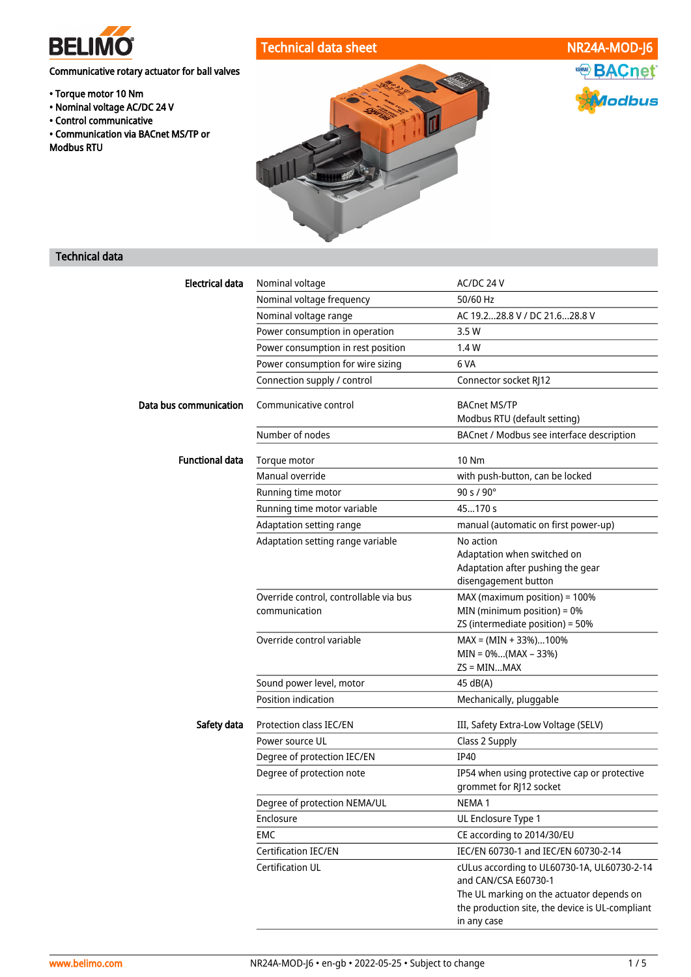

# Communicative rotary actuator for ball valves

- Torque motor 10 Nm
- Nominal voltage AC/DC 24 V
- Control communicative
- Communication via BACnet MS/TP or Modbus RTU



# ASHRAE BACnet **f**lodbus

# Technical data

| <b>Electrical data</b> | Nominal voltage                                         | AC/DC 24 V                                                                                                  |
|------------------------|---------------------------------------------------------|-------------------------------------------------------------------------------------------------------------|
|                        | Nominal voltage frequency                               | 50/60 Hz                                                                                                    |
|                        | Nominal voltage range                                   | AC 19.228.8 V / DC 21.628.8 V                                                                               |
|                        | Power consumption in operation                          | 3.5 W                                                                                                       |
|                        | Power consumption in rest position                      | 1.4 W                                                                                                       |
|                        | Power consumption for wire sizing                       | 6 VA                                                                                                        |
|                        | Connection supply / control                             | Connector socket RJ12                                                                                       |
| Data bus communication | Communicative control                                   | <b>BACnet MS/TP</b><br>Modbus RTU (default setting)                                                         |
|                        | Number of nodes                                         | BACnet / Modbus see interface description                                                                   |
| <b>Functional data</b> | Torque motor                                            | 10 Nm                                                                                                       |
|                        | Manual override                                         | with push-button, can be locked                                                                             |
|                        | Running time motor                                      | 90 s / 90°                                                                                                  |
|                        | Running time motor variable                             | 45170 s                                                                                                     |
|                        | Adaptation setting range                                | manual (automatic on first power-up)                                                                        |
|                        | Adaptation setting range variable                       | No action<br>Adaptation when switched on<br>Adaptation after pushing the gear<br>disengagement button       |
|                        | Override control, controllable via bus<br>communication | MAX (maximum position) = 100%<br>MIN (minimum position) = 0%<br>ZS (intermediate position) = 50%            |
|                        | Override control variable                               | $MAX = (MIN + 33\%).100\%$<br>$MIN = 0$ %(MAX – 33%)<br>$ZS = MINMAX$                                       |
|                        | Sound power level, motor                                | 45 dB(A)                                                                                                    |
|                        | Position indication                                     | Mechanically, pluggable                                                                                     |
| Safety data            | Protection class IEC/EN                                 | III, Safety Extra-Low Voltage (SELV)                                                                        |
|                        | Power source UL                                         | Class 2 Supply                                                                                              |
|                        | Degree of protection IEC/EN                             | <b>IP40</b>                                                                                                 |
|                        | Degree of protection note                               | IP54 when using protective cap or protective<br>grommet for RJ12 socket                                     |
|                        | Degree of protection NEMA/UL                            | NEMA <sub>1</sub>                                                                                           |
|                        | Enclosure                                               | UL Enclosure Type 1                                                                                         |
|                        | EMC                                                     | CE according to 2014/30/EU                                                                                  |
|                        | <b>Certification IEC/EN</b>                             | IEC/EN 60730-1 and IEC/EN 60730-2-14                                                                        |
|                        | Certification UL                                        | cULus according to UL60730-1A, UL60730-2-14<br>and CAN/CSA E60730-1                                         |
|                        |                                                         | The UL marking on the actuator depends on<br>the production site, the device is UL-compliant<br>in any case |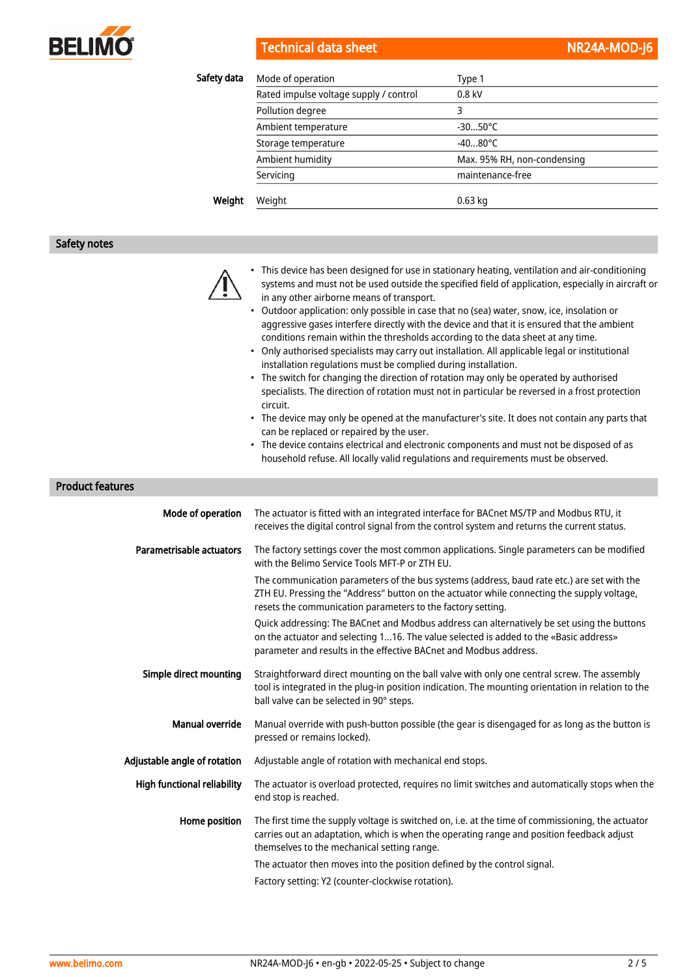

| Safety data | Mode of operation                      | Type 1                      |
|-------------|----------------------------------------|-----------------------------|
|             | Rated impulse voltage supply / control | $0.8$ kV                    |
|             | Pollution degree                       | 3                           |
|             | Ambient temperature                    | $-3050^{\circ}$ C           |
|             | Storage temperature                    | $-4080^{\circ}$ C           |
|             | Ambient humidity                       | Max. 95% RH, non-condensing |
|             | Servicing                              | maintenance-free            |
| Weight      | Weight                                 | $0.63$ kg                   |

#### Safety notes



- This device has been designed for use in stationary heating, ventilation and air-conditioning systems and must not be used outside the specified field of application, especially in aircraft or in any other airborne means of transport.
- Outdoor application: only possible in case that no (sea) water, snow, ice, insolation or aggressive gases interfere directly with the device and that it is ensured that the ambient conditions remain within the thresholds according to the data sheet at any time.
- Only authorised specialists may carry out installation. All applicable legal or institutional installation regulations must be complied during installation.
- The switch for changing the direction of rotation may only be operated by authorised specialists. The direction of rotation must not in particular be reversed in a frost protection circuit.
- The device may only be opened at the manufacturer's site. It does not contain any parts that can be replaced or repaired by the user.
- The device contains electrical and electronic components and must not be disposed of as household refuse. All locally valid regulations and requirements must be observed.

#### Product features

| Mode of operation                  | The actuator is fitted with an integrated interface for BACnet MS/TP and Modbus RTU, it<br>receives the digital control signal from the control system and returns the current status.                                                                   |
|------------------------------------|----------------------------------------------------------------------------------------------------------------------------------------------------------------------------------------------------------------------------------------------------------|
| Parametrisable actuators           | The factory settings cover the most common applications. Single parameters can be modified<br>with the Belimo Service Tools MFT-P or ZTH EU.                                                                                                             |
|                                    | The communication parameters of the bus systems (address, baud rate etc.) are set with the<br>ZTH EU. Pressing the "Address" button on the actuator while connecting the supply voltage,<br>resets the communication parameters to the factory setting.  |
|                                    | Quick addressing: The BACnet and Modbus address can alternatively be set using the buttons<br>on the actuator and selecting 116. The value selected is added to the «Basic address»<br>parameter and results in the effective BACnet and Modbus address. |
| Simple direct mounting             | Straightforward direct mounting on the ball valve with only one central screw. The assembly<br>tool is integrated in the plug-in position indication. The mounting orientation in relation to the<br>ball valve can be selected in 90° steps.            |
| <b>Manual override</b>             | Manual override with push-button possible (the gear is disengaged for as long as the button is<br>pressed or remains locked).                                                                                                                            |
| Adjustable angle of rotation       | Adjustable angle of rotation with mechanical end stops.                                                                                                                                                                                                  |
| <b>High functional reliability</b> | The actuator is overload protected, requires no limit switches and automatically stops when the<br>end stop is reached.                                                                                                                                  |
| Home position                      | The first time the supply voltage is switched on, i.e. at the time of commissioning, the actuator<br>carries out an adaptation, which is when the operating range and position feedback adjust<br>themselves to the mechanical setting range.            |
|                                    | The actuator then moves into the position defined by the control signal.                                                                                                                                                                                 |
|                                    | Factory setting: Y2 (counter-clockwise rotation).                                                                                                                                                                                                        |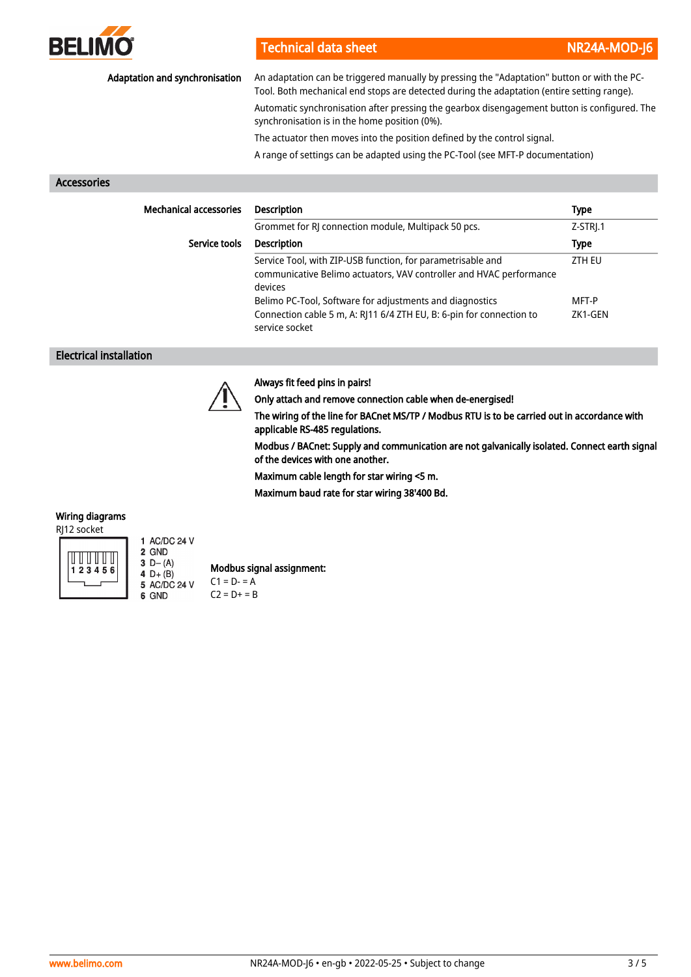

| Adaptation and synchronisation | An adaptation can be triggered manually by pressing the "Adaptation" button or with the PC-<br>Tool. Both mechanical end stops are detected during the adaptation (entire setting range).<br>Automatic synchronisation after pressing the gearbox disengagement button is configured. The<br>synchronisation is in the home position (0%). |               |
|--------------------------------|--------------------------------------------------------------------------------------------------------------------------------------------------------------------------------------------------------------------------------------------------------------------------------------------------------------------------------------------|---------------|
|                                |                                                                                                                                                                                                                                                                                                                                            |               |
|                                | The actuator then moves into the position defined by the control signal.                                                                                                                                                                                                                                                                   |               |
|                                | A range of settings can be adapted using the PC-Tool (see MFT-P documentation)                                                                                                                                                                                                                                                             |               |
| Accessories                    |                                                                                                                                                                                                                                                                                                                                            |               |
| <b>Mechanical accessories</b>  | <b>Description</b>                                                                                                                                                                                                                                                                                                                         | <b>Type</b>   |
|                                | Grommet for RJ connection module, Multipack 50 pcs.                                                                                                                                                                                                                                                                                        | Z-STRI.1      |
| Service tools                  | <b>Description</b>                                                                                                                                                                                                                                                                                                                         | <b>Type</b>   |
|                                | Service Tool, with ZIP-USB function, for parametrisable and<br>communicative Belimo actuators, VAV controller and HVAC performance<br>dovices                                                                                                                                                                                              | <b>ZTH EU</b> |

devices Belimo PC-Tool, Software for adjustments and diagnostics MFT-P Connection cable 5 m, A: RJ11 6/4 ZTH EU, B: 6-pin for connection to service socket ZK1-GEN

#### Electrical installation



### Always fit feed pins in pairs!

Only attach and remove connection cable when de-energised!

The wiring of the line for BACnet MS/TP / Modbus RTU is to be carried out in accordance with applicable RS-485 regulations.

Modbus / BACnet: Supply and communication are not galvanically isolated. Connect earth signal of the devices with one another.

Maximum cable length for star wiring <5 m.

Maximum baud rate for star wiring 38'400 Bd.

# Wiring diagrams

RJ12 socket



1 AC/DC 24 V 2 GND 3  $D - (A)$  $4 D+ (B)$ <br>5 AC/DC 24 V 6 GND

Modbus signal assignment:  $C1 = D - 4$ 

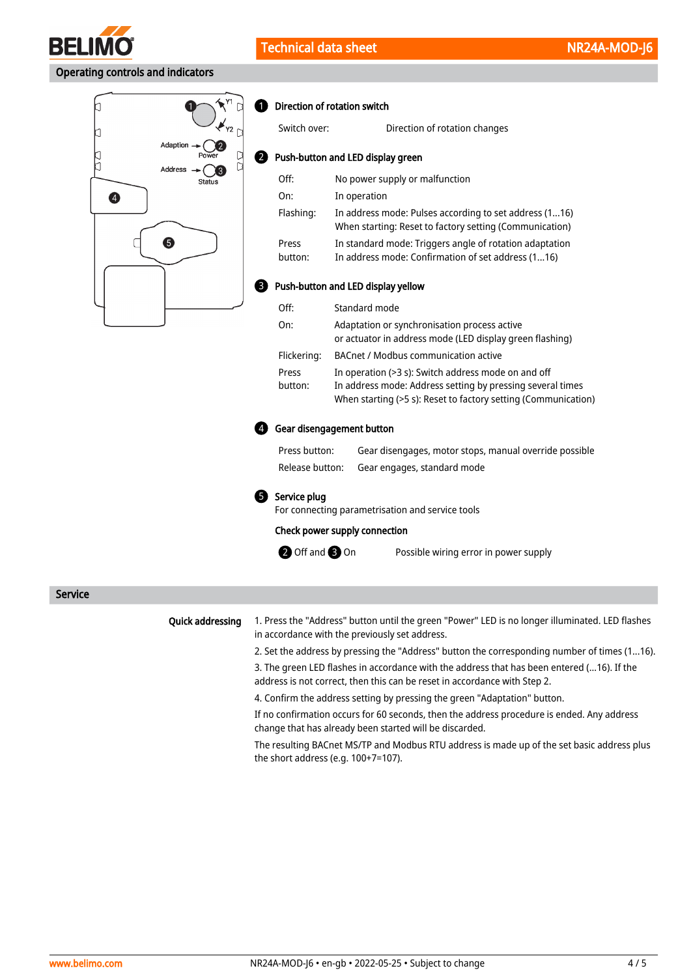

# Operating controls and indicators



#### **D** Direction of rotation switch

2

| Switch over:                       | Direction of rotation changes                                                                                                                                                       |  |  |  |
|------------------------------------|-------------------------------------------------------------------------------------------------------------------------------------------------------------------------------------|--|--|--|
| Push-button and LED display green  |                                                                                                                                                                                     |  |  |  |
| Off:                               | No power supply or malfunction                                                                                                                                                      |  |  |  |
| On:                                | In operation                                                                                                                                                                        |  |  |  |
| Flashing:                          | In address mode: Pulses according to set address (116)<br>When starting: Reset to factory setting (Communication)                                                                   |  |  |  |
| Press                              | In standard mode: Triggers angle of rotation adaptation                                                                                                                             |  |  |  |
| button:                            | In address mode: Confirmation of set address (116)                                                                                                                                  |  |  |  |
| Push-button and LED display yellow |                                                                                                                                                                                     |  |  |  |
| Off:                               | Standard mode                                                                                                                                                                       |  |  |  |
| On:                                | Adaptation or synchronisation process active<br>or actuator in address mode (LED display green flashing)                                                                            |  |  |  |
| Flickering:                        | BACnet / Modbus communication active                                                                                                                                                |  |  |  |
| Press<br>button:                   | In operation (>3 s): Switch address mode on and off<br>In address mode: Address setting by pressing several times<br>When starting (>5 s): Reset to factory setting (Communication) |  |  |  |

#### Gear disengagement button 4

| Press button:   | Gear disengages, motor stops, manual override possible |
|-----------------|--------------------------------------------------------|
| Release button: | Gear engages, standard mode                            |

#### **5** Service plug

For connecting parametrisation and service tools

#### Check power supply connection

**2** Off and **3** On

Possible wiring error in power supply

Service

#### Quick addressing

1. Press the "Address" button until the green "Power" LED is no longer illuminated. LED flashes in accordance with the previously set address.

2. Set the address by pressing the "Address" button the corresponding number of times (1...16).

3. The green LED flashes in accordance with the address that has been entered (...16). If the address is not correct, then this can be reset in accordance with Step 2.

4. Confirm the address setting by pressing the green "Adaptation" button.

If no confirmation occurs for 60 seconds, then the address procedure is ended. Any address change that has already been started will be discarded.

The resulting BACnet MS/TP and Modbus RTU address is made up of the set basic address plus the short address (e.g. 100+7=107).